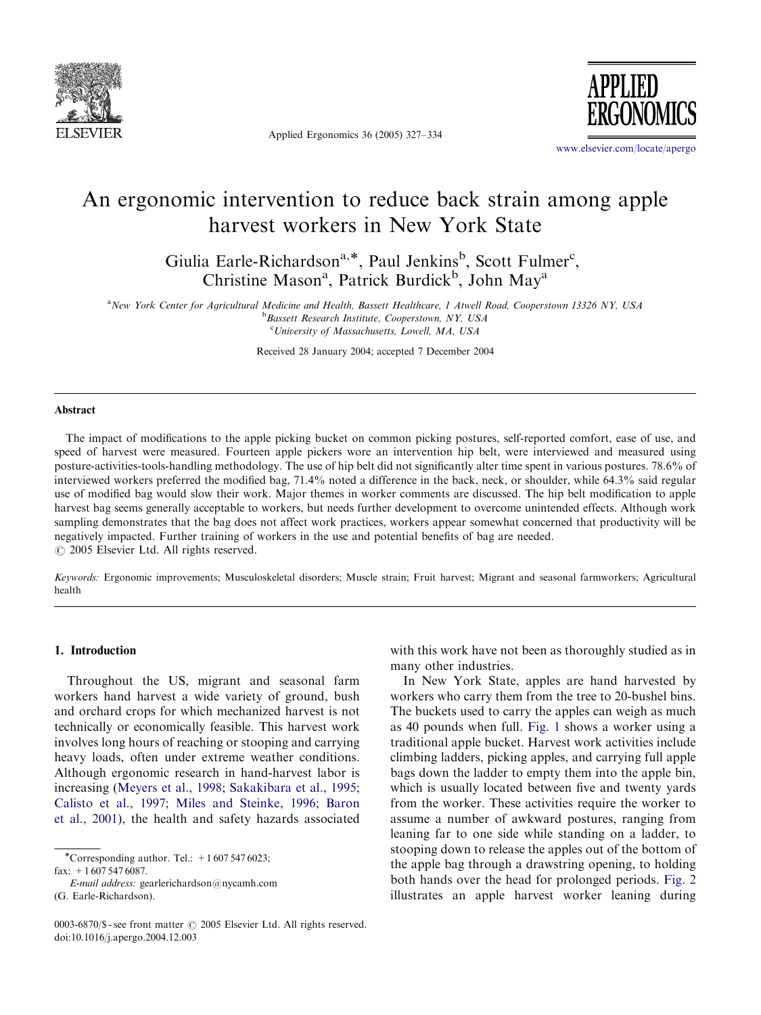

Applied Ergonomics 36 (2005) 327–334



<www.elsevier.com/locate/apergo>

## An ergonomic intervention to reduce back strain among apple harvest workers in New York State

Giulia Earle-Richardson<sup>a,\*</sup>, Paul Jenkins<sup>b</sup>, Scott Fulmer<sup>c</sup>, Christine Mason<sup>a</sup>, Patrick Burdick<sup>b</sup>, John May<sup>a</sup>

a New York Center for Agricultural Medicine and Health, Bassett Healthcare, 1 Atwell Road, Cooperstown 13326 NY, USA **b**Bassett Research Institute, Cooperstown, NY, USA <sup>c</sup>University of Massachusetts, Lowell, MA, USA

Received 28 January 2004; accepted 7 December 2004

#### **Abstract**

The impact of modifications to the apple picking bucket on common picking postures, self-reported comfort, ease of use, and speed of harvest were measured. Fourteen apple pickers wore an intervention hip belt, were interviewed and measured using posture-activities-tools-handling methodology. The use of hip belt did not significantly alter time spent in various postures. 78.6% of interviewed workers preferred the modified bag, 71.4% noted a difference in the back, neck, or shoulder, while 64.3% said regular use of modified bag would slow their work. Major themes in worker comments are discussed. The hip belt modification to apple harvest bag seems generally acceptable to workers, but needs further development to overcome unintended effects. Although work sampling demonstrates that the bag does not affect work practices, workers appear somewhat concerned that productivity will be negatively impacted. Further training of workers in the use and potential benefits of bag are needed.  $C$  2005 Elsevier Ltd. All rights reserved.

Keywords: Ergonomic improvements; Musculoskeletal disorders; Muscle strain; Fruit harvest; Migrant and seasonal farmworkers; Agricultural health

### 1. Introduction

Throughout the US, migrant and seasonal farm workers hand harvest a wide variety of ground, bush and orchard crops for which mechanized harvest is not technically or economically feasible. This harvest work involves long hours of reaching or stooping and carrying heavy loads, often under extreme weather conditions. Although ergonomic research in hand-harvest labor is increasing ([Meyers et al., 1998;](#page--1-0) [Sakakibara et al., 1995;](#page--1-0) [Calisto et al., 1997;](#page--1-0) [Miles and Steinke, 1996](#page--1-0); [Baron](#page--1-0) [et al., 2001](#page--1-0)), the health and safety hazards associated

(G. Earle-Richardson).

with this work have not been as thoroughly studied as in many other industries.

In New York State, apples are hand harvested by workers who carry them from the tree to 20-bushel bins. The buckets used to carry the apples can weigh as much as 40 pounds when full. [Fig. 1](#page-1-0) shows a worker using a traditional apple bucket. Harvest work activities include climbing ladders, picking apples, and carrying full apple bags down the ladder to empty them into the apple bin, which is usually located between five and twenty yards from the worker. These activities require the worker to assume a number of awkward postures, ranging from leaning far to one side while standing on a ladder, to stooping down to release the apples out of the bottom of the apple bag through a drawstring opening, to holding both hands over the head for prolonged periods. [Fig. 2](#page-1-0) illustrates an apple harvest worker leaning during

<sup>\*</sup>Corresponding author. Tel.:  $+16075476023$ ;  $fax: +16075476087$ 

E-mail address: gearlerichardson@nycamh.com

<sup>0003-6870/\$ -</sup> see front matter  $\odot$  2005 Elsevier Ltd. All rights reserved. doi:10.1016/j.apergo.2004.12.003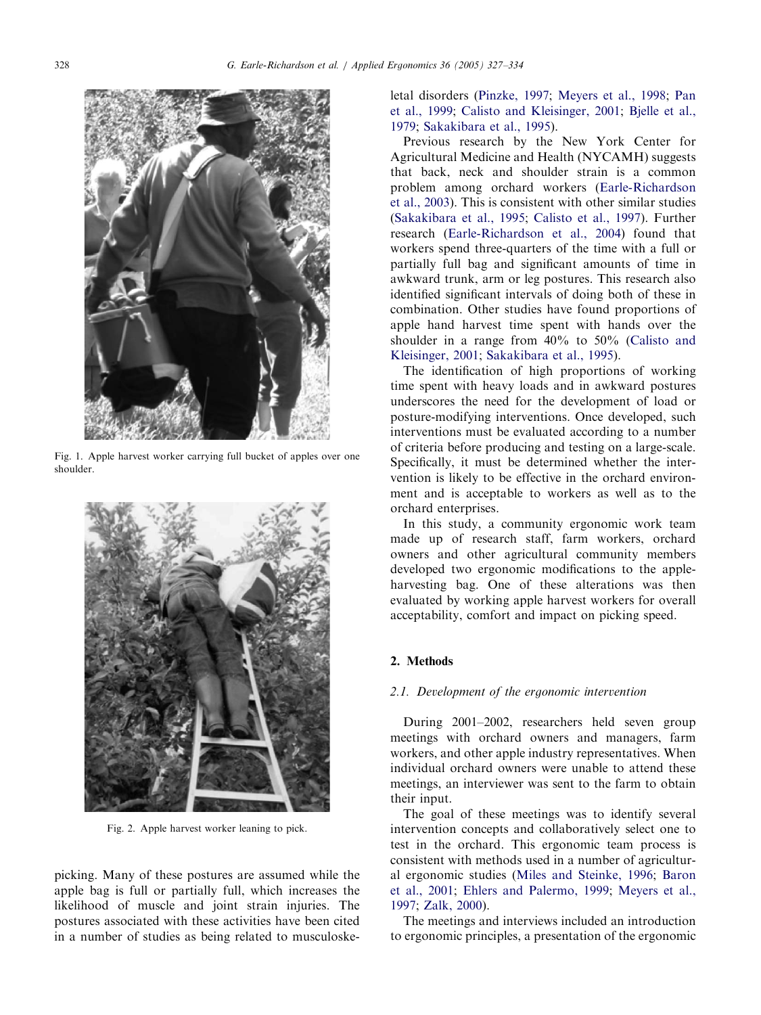<span id="page-1-0"></span>

Fig. 1. Apple harvest worker carrying full bucket of apples over one shoulder.



Fig. 2. Apple harvest worker leaning to pick.

picking. Many of these postures are assumed while the apple bag is full or partially full, which increases the likelihood of muscle and joint strain injuries. The postures associated with these activities have been cited in a number of studies as being related to musculoskeletal disorders [\(Pinzke, 1997;](#page--1-0) [Meyers et al., 1998](#page--1-0); [Pan](#page--1-0) [et al., 1999](#page--1-0); [Calisto and Kleisinger, 2001](#page--1-0); [Bjelle et al.,](#page--1-0) [1979](#page--1-0); [Sakakibara et al., 1995\)](#page--1-0).

Previous research by the New York Center for Agricultural Medicine and Health (NYCAMH) suggests that back, neck and shoulder strain is a common problem among orchard workers [\(Earle-Richardson](#page--1-0) [et al., 2003\)](#page--1-0). This is consistent with other similar studies ([Sakakibara et al., 1995;](#page--1-0) [Calisto et al., 1997](#page--1-0)). Further research [\(Earle-Richardson et al., 2004\)](#page--1-0) found that workers spend three-quarters of the time with a full or partially full bag and significant amounts of time in awkward trunk, arm or leg postures. This research also identified significant intervals of doing both of these in combination. Other studies have found proportions of apple hand harvest time spent with hands over the shoulder in a range from 40% to 50% [\(Calisto and](#page--1-0) [Kleisinger, 2001;](#page--1-0) [Sakakibara et al., 1995](#page--1-0)).

The identification of high proportions of working time spent with heavy loads and in awkward postures underscores the need for the development of load or posture-modifying interventions. Once developed, such interventions must be evaluated according to a number of criteria before producing and testing on a large-scale. Specifically, it must be determined whether the intervention is likely to be effective in the orchard environment and is acceptable to workers as well as to the orchard enterprises.

In this study, a community ergonomic work team made up of research staff, farm workers, orchard owners and other agricultural community members developed two ergonomic modifications to the appleharvesting bag. One of these alterations was then evaluated by working apple harvest workers for overall acceptability, comfort and impact on picking speed.

### 2. Methods

#### 2.1. Development of the ergonomic intervention

During 2001–2002, researchers held seven group meetings with orchard owners and managers, farm workers, and other apple industry representatives. When individual orchard owners were unable to attend these meetings, an interviewer was sent to the farm to obtain their input.

The goal of these meetings was to identify several intervention concepts and collaboratively select one to test in the orchard. This ergonomic team process is consistent with methods used in a number of agricultural ergonomic studies [\(Miles and Steinke, 1996;](#page--1-0) [Baron](#page--1-0) [et al., 2001](#page--1-0); [Ehlers and Palermo, 1999;](#page--1-0) [Meyers et al.,](#page--1-0) [1997](#page--1-0); [Zalk, 2000](#page--1-0)).

The meetings and interviews included an introduction to ergonomic principles, a presentation of the ergonomic